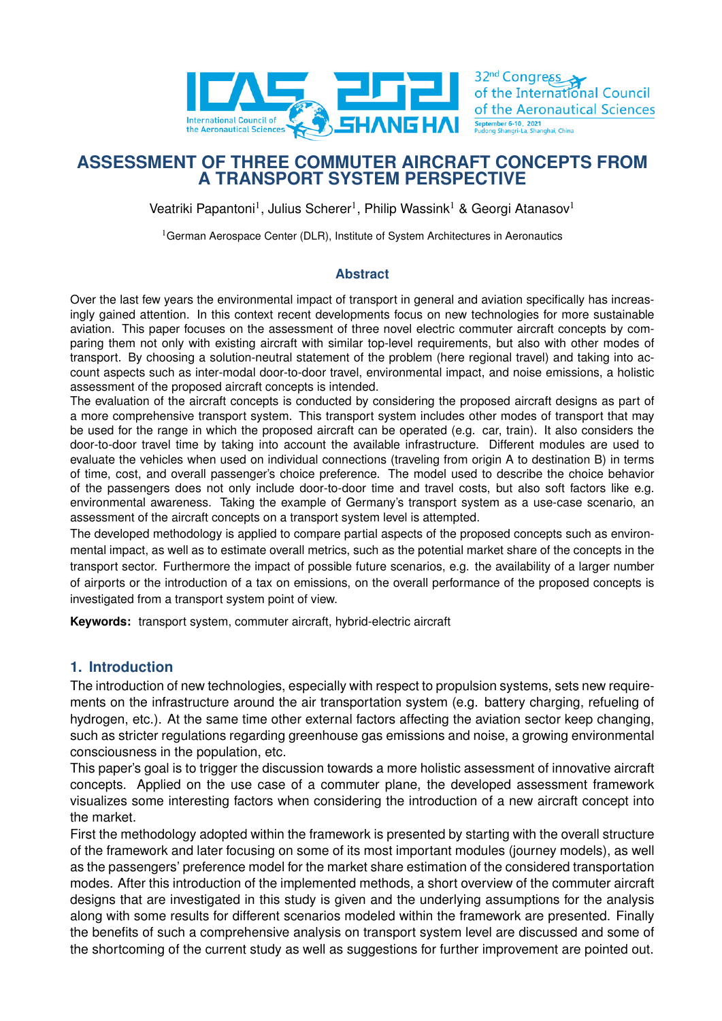

32<sup>nd</sup> Congress of the International Council of the Aeronautical Sciences September 6-10, 2021<br>Pudong Shangri-La, Shan

# **ASSESSMENT OF THREE COMMUTER AIRCRAFT CONCEPTS FROM A TRANSPORT SYSTEM PERSPECTIVE**

Veatriki Papantoni<sup>1</sup>, Julius Scherer<sup>1</sup>, Philip Wassink<sup>1</sup> & Georgi Atanasov<sup>1</sup>

<sup>1</sup>German Aerospace Center (DLR), Institute of System Architectures in Aeronautics

### **Abstract**

Over the last few years the environmental impact of transport in general and aviation specifically has increasingly gained attention. In this context recent developments focus on new technologies for more sustainable aviation. This paper focuses on the assessment of three novel electric commuter aircraft concepts by comparing them not only with existing aircraft with similar top-level requirements, but also with other modes of transport. By choosing a solution-neutral statement of the problem (here regional travel) and taking into account aspects such as inter-modal door-to-door travel, environmental impact, and noise emissions, a holistic assessment of the proposed aircraft concepts is intended.

The evaluation of the aircraft concepts is conducted by considering the proposed aircraft designs as part of a more comprehensive transport system. This transport system includes other modes of transport that may be used for the range in which the proposed aircraft can be operated (e.g. car, train). It also considers the door-to-door travel time by taking into account the available infrastructure. Different modules are used to evaluate the vehicles when used on individual connections (traveling from origin A to destination B) in terms of time, cost, and overall passenger's choice preference. The model used to describe the choice behavior of the passengers does not only include door-to-door time and travel costs, but also soft factors like e.g. environmental awareness. Taking the example of Germany's transport system as a use-case scenario, an assessment of the aircraft concepts on a transport system level is attempted.

The developed methodology is applied to compare partial aspects of the proposed concepts such as environmental impact, as well as to estimate overall metrics, such as the potential market share of the concepts in the transport sector. Furthermore the impact of possible future scenarios, e.g. the availability of a larger number of airports or the introduction of a tax on emissions, on the overall performance of the proposed concepts is investigated from a transport system point of view.

**Keywords:** transport system, commuter aircraft, hybrid-electric aircraft

## **1. Introduction**

The introduction of new technologies, especially with respect to propulsion systems, sets new requirements on the infrastructure around the air transportation system (e.g. battery charging, refueling of hydrogen, etc.). At the same time other external factors affecting the aviation sector keep changing, such as stricter regulations regarding greenhouse gas emissions and noise, a growing environmental consciousness in the population, etc.

This paper's goal is to trigger the discussion towards a more holistic assessment of innovative aircraft concepts. Applied on the use case of a commuter plane, the developed assessment framework visualizes some interesting factors when considering the introduction of a new aircraft concept into the market.

First the methodology adopted within the framework is presented by starting with the overall structure of the framework and later focusing on some of its most important modules (journey models), as well as the passengers' preference model for the market share estimation of the considered transportation modes. After this introduction of the implemented methods, a short overview of the commuter aircraft designs that are investigated in this study is given and the underlying assumptions for the analysis along with some results for different scenarios modeled within the framework are presented. Finally the benefits of such a comprehensive analysis on transport system level are discussed and some of the shortcoming of the current study as well as suggestions for further improvement are pointed out.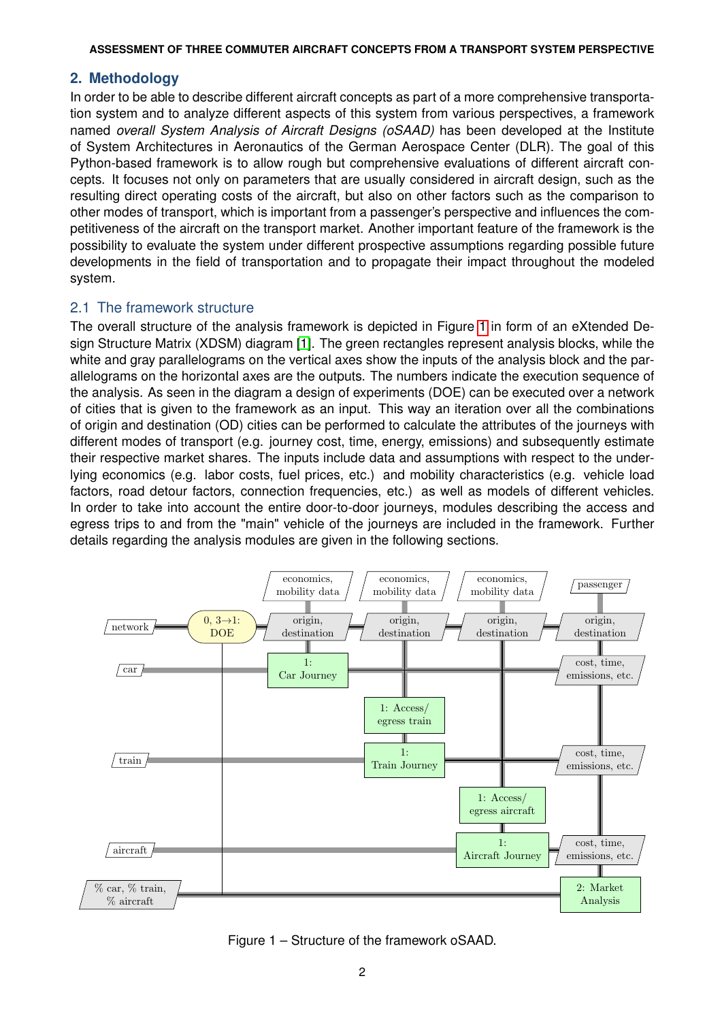### **2. Methodology**

In order to be able to describe different aircraft concepts as part of a more comprehensive transportation system and to analyze different aspects of this system from various perspectives, a framework named *overall System Analysis of Aircraft Designs (oSAAD)* has been developed at the Institute of System Architectures in Aeronautics of the German Aerospace Center (DLR). The goal of this Python-based framework is to allow rough but comprehensive evaluations of different aircraft concepts. It focuses not only on parameters that are usually considered in aircraft design, such as the resulting direct operating costs of the aircraft, but also on other factors such as the comparison to other modes of transport, which is important from a passenger's perspective and influences the competitiveness of the aircraft on the transport market. Another important feature of the framework is the possibility to evaluate the system under different prospective assumptions regarding possible future developments in the field of transportation and to propagate their impact throughout the modeled system.

### 2.1 The framework structure

The overall structure of the analysis framework is depicted in Figure [1](#page-1-0) in form of an eXtended Design Structure Matrix (XDSM) diagram [\[1\]](#page-12-0). The green rectangles represent analysis blocks, while the white and gray parallelograms on the vertical axes show the inputs of the analysis block and the parallelograms on the horizontal axes are the outputs. The numbers indicate the execution sequence of the analysis. As seen in the diagram a design of experiments (DOE) can be executed over a network of cities that is given to the framework as an input. This way an iteration over all the combinations of origin and destination (OD) cities can be performed to calculate the attributes of the journeys with different modes of transport (e.g. journey cost, time, energy, emissions) and subsequently estimate their respective market shares. The inputs include data and assumptions with respect to the underlying economics (e.g. labor costs, fuel prices, etc.) and mobility characteristics (e.g. vehicle load factors, road detour factors, connection frequencies, etc.) as well as models of different vehicles. In order to take into account the entire door-to-door journeys, modules describing the access and egress trips to and from the "main" vehicle of the journeys are included in the framework. Further details regarding the analysis modules are given in the following sections.

<span id="page-1-0"></span>

Figure 1 – Structure of the framework oSAAD.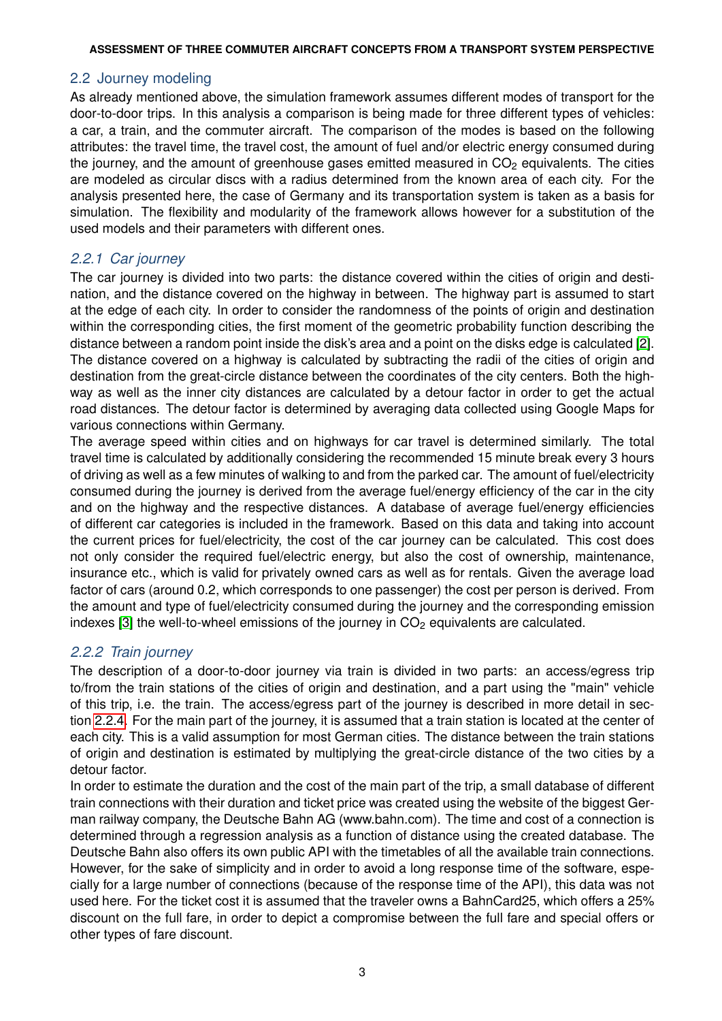## 2.2 Journey modeling

As already mentioned above, the simulation framework assumes different modes of transport for the door-to-door trips. In this analysis a comparison is being made for three different types of vehicles: a car, a train, and the commuter aircraft. The comparison of the modes is based on the following attributes: the travel time, the travel cost, the amount of fuel and/or electric energy consumed during the journey, and the amount of greenhouse gases emitted measured in  $CO<sub>2</sub>$  equivalents. The cities are modeled as circular discs with a radius determined from the known area of each city. For the analysis presented here, the case of Germany and its transportation system is taken as a basis for simulation. The flexibility and modularity of the framework allows however for a substitution of the used models and their parameters with different ones.

## *2.2.1 Car journey*

The car journey is divided into two parts: the distance covered within the cities of origin and destination, and the distance covered on the highway in between. The highway part is assumed to start at the edge of each city. In order to consider the randomness of the points of origin and destination within the corresponding cities, the first moment of the geometric probability function describing the distance between a random point inside the disk's area and a point on the disks edge is calculated [\[2\]](#page-12-1). The distance covered on a highway is calculated by subtracting the radii of the cities of origin and destination from the great-circle distance between the coordinates of the city centers. Both the highway as well as the inner city distances are calculated by a detour factor in order to get the actual road distances. The detour factor is determined by averaging data collected using Google Maps for various connections within Germany.

The average speed within cities and on highways for car travel is determined similarly. The total travel time is calculated by additionally considering the recommended 15 minute break every 3 hours of driving as well as a few minutes of walking to and from the parked car. The amount of fuel/electricity consumed during the journey is derived from the average fuel/energy efficiency of the car in the city and on the highway and the respective distances. A database of average fuel/energy efficiencies of different car categories is included in the framework. Based on this data and taking into account the current prices for fuel/electricity, the cost of the car journey can be calculated. This cost does not only consider the required fuel/electric energy, but also the cost of ownership, maintenance, insurance etc., which is valid for privately owned cars as well as for rentals. Given the average load factor of cars (around 0.2, which corresponds to one passenger) the cost per person is derived. From the amount and type of fuel/electricity consumed during the journey and the corresponding emission indexes [\[3\]](#page-12-2) the well-to-wheel emissions of the journey in  $CO<sub>2</sub>$  equivalents are calculated.

## *2.2.2 Train journey*

The description of a door-to-door journey via train is divided in two parts: an access/egress trip to/from the train stations of the cities of origin and destination, and a part using the "main" vehicle of this trip, i.e. the train. The access/egress part of the journey is described in more detail in section [2.2.4.](#page-5-0) For the main part of the journey, it is assumed that a train station is located at the center of each city. This is a valid assumption for most German cities. The distance between the train stations of origin and destination is estimated by multiplying the great-circle distance of the two cities by a detour factor.

In order to estimate the duration and the cost of the main part of the trip, a small database of different train connections with their duration and ticket price was created using the website of the biggest German railway company, the Deutsche Bahn AG (www.bahn.com). The time and cost of a connection is determined through a regression analysis as a function of distance using the created database. The Deutsche Bahn also offers its own public API with the timetables of all the available train connections. However, for the sake of simplicity and in order to avoid a long response time of the software, especially for a large number of connections (because of the response time of the API), this data was not used here. For the ticket cost it is assumed that the traveler owns a BahnCard25, which offers a 25% discount on the full fare, in order to depict a compromise between the full fare and special offers or other types of fare discount.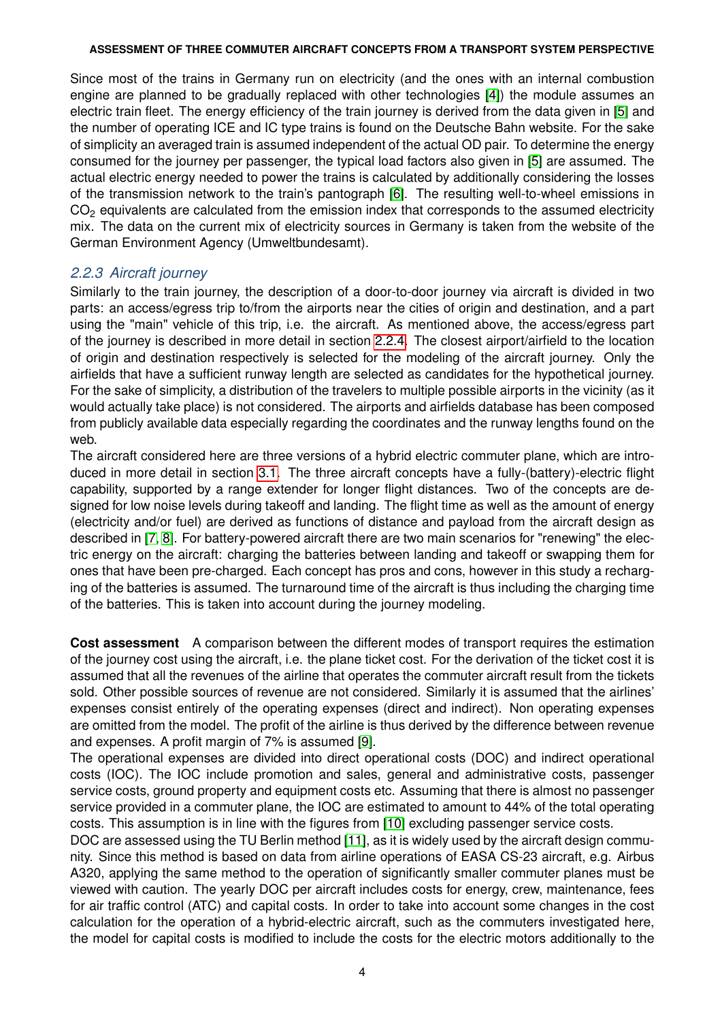Since most of the trains in Germany run on electricity (and the ones with an internal combustion engine are planned to be gradually replaced with other technologies [\[4\]](#page-12-3)) the module assumes an electric train fleet. The energy efficiency of the train journey is derived from the data given in [\[5\]](#page-12-4) and the number of operating ICE and IC type trains is found on the Deutsche Bahn website. For the sake of simplicity an averaged train is assumed independent of the actual OD pair. To determine the energy consumed for the journey per passenger, the typical load factors also given in [\[5\]](#page-12-4) are assumed. The actual electric energy needed to power the trains is calculated by additionally considering the losses of the transmission network to the train's pantograph [\[6\]](#page-12-5). The resulting well-to-wheel emissions in CO<sub>2</sub> equivalents are calculated from the emission index that corresponds to the assumed electricity mix. The data on the current mix of electricity sources in Germany is taken from the website of the German Environment Agency (Umweltbundesamt).

### *2.2.3 Aircraft journey*

Similarly to the train journey, the description of a door-to-door journey via aircraft is divided in two parts: an access/egress trip to/from the airports near the cities of origin and destination, and a part using the "main" vehicle of this trip, i.e. the aircraft. As mentioned above, the access/egress part of the journey is described in more detail in section [2.2.4.](#page-5-0) The closest airport/airfield to the location of origin and destination respectively is selected for the modeling of the aircraft journey. Only the airfields that have a sufficient runway length are selected as candidates for the hypothetical journey. For the sake of simplicity, a distribution of the travelers to multiple possible airports in the vicinity (as it would actually take place) is not considered. The airports and airfields database has been composed from publicly available data especially regarding the coordinates and the runway lengths found on the web.

The aircraft considered here are three versions of a hybrid electric commuter plane, which are introduced in more detail in section [3.1.](#page-7-0) The three aircraft concepts have a fully-(battery)-electric flight capability, supported by a range extender for longer flight distances. Two of the concepts are designed for low noise levels during takeoff and landing. The flight time as well as the amount of energy (electricity and/or fuel) are derived as functions of distance and payload from the aircraft design as described in [\[7,](#page-12-6) [8\]](#page-12-7). For battery-powered aircraft there are two main scenarios for "renewing" the electric energy on the aircraft: charging the batteries between landing and takeoff or swapping them for ones that have been pre-charged. Each concept has pros and cons, however in this study a recharging of the batteries is assumed. The turnaround time of the aircraft is thus including the charging time of the batteries. This is taken into account during the journey modeling.

**Cost assessment** A comparison between the different modes of transport requires the estimation of the journey cost using the aircraft, i.e. the plane ticket cost. For the derivation of the ticket cost it is assumed that all the revenues of the airline that operates the commuter aircraft result from the tickets sold. Other possible sources of revenue are not considered. Similarly it is assumed that the airlines' expenses consist entirely of the operating expenses (direct and indirect). Non operating expenses are omitted from the model. The profit of the airline is thus derived by the difference between revenue and expenses. A profit margin of 7% is assumed [\[9\]](#page-12-8).

The operational expenses are divided into direct operational costs (DOC) and indirect operational costs (IOC). The IOC include promotion and sales, general and administrative costs, passenger service costs, ground property and equipment costs etc. Assuming that there is almost no passenger service provided in a commuter plane, the IOC are estimated to amount to 44% of the total operating costs. This assumption is in line with the figures from [\[10\]](#page-12-9) excluding passenger service costs.

DOC are assessed using the TU Berlin method [\[11\]](#page-12-10), as it is widely used by the aircraft design community. Since this method is based on data from airline operations of EASA CS-23 aircraft, e.g. Airbus A320, applying the same method to the operation of significantly smaller commuter planes must be viewed with caution. The yearly DOC per aircraft includes costs for energy, crew, maintenance, fees for air traffic control (ATC) and capital costs. In order to take into account some changes in the cost calculation for the operation of a hybrid-electric aircraft, such as the commuters investigated here, the model for capital costs is modified to include the costs for the electric motors additionally to the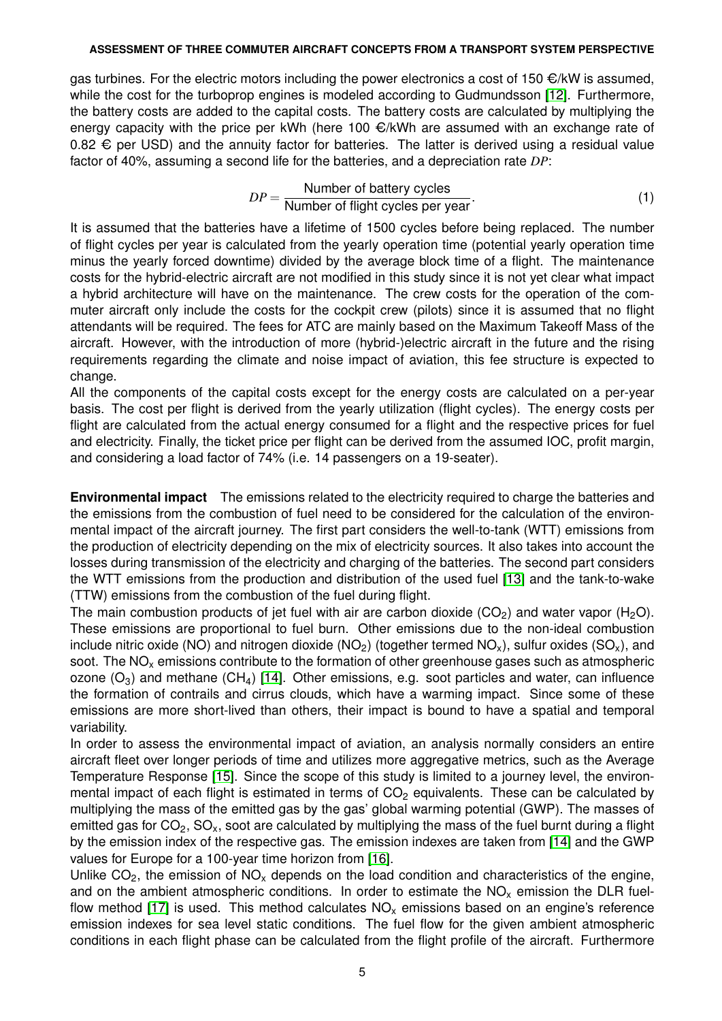gas turbines. For the electric motors including the power electronics a cost of 150  $\epsilon/kW$  is assumed, while the cost for the turboprop engines is modeled according to Gudmundsson [\[12\]](#page-12-11). Furthermore, the battery costs are added to the capital costs. The battery costs are calculated by multiplying the energy capacity with the price per kWh (here 100  $\epsilon/kWh$  are assumed with an exchange rate of 0.82  $€$  per USD) and the annuity factor for batteries. The latter is derived using a residual value factor of 40%, assuming a second life for the batteries, and a depreciation rate *DP*:

$$
DP = \frac{\text{Number of battery cycles}}{\text{Number of flight cycles per year}}.
$$
\n(1)

It is assumed that the batteries have a lifetime of 1500 cycles before being replaced. The number of flight cycles per year is calculated from the yearly operation time (potential yearly operation time minus the yearly forced downtime) divided by the average block time of a flight. The maintenance costs for the hybrid-electric aircraft are not modified in this study since it is not yet clear what impact a hybrid architecture will have on the maintenance. The crew costs for the operation of the commuter aircraft only include the costs for the cockpit crew (pilots) since it is assumed that no flight attendants will be required. The fees for ATC are mainly based on the Maximum Takeoff Mass of the aircraft. However, with the introduction of more (hybrid-)electric aircraft in the future and the rising requirements regarding the climate and noise impact of aviation, this fee structure is expected to change.

All the components of the capital costs except for the energy costs are calculated on a per-year basis. The cost per flight is derived from the yearly utilization (flight cycles). The energy costs per flight are calculated from the actual energy consumed for a flight and the respective prices for fuel and electricity. Finally, the ticket price per flight can be derived from the assumed IOC, profit margin, and considering a load factor of 74% (i.e. 14 passengers on a 19-seater).

**Environmental impact** The emissions related to the electricity required to charge the batteries and the emissions from the combustion of fuel need to be considered for the calculation of the environmental impact of the aircraft journey. The first part considers the well-to-tank (WTT) emissions from the production of electricity depending on the mix of electricity sources. It also takes into account the losses during transmission of the electricity and charging of the batteries. The second part considers the WTT emissions from the production and distribution of the used fuel [\[13\]](#page-12-12) and the tank-to-wake (TTW) emissions from the combustion of the fuel during flight.

The main combustion products of jet fuel with air are carbon dioxide (CO<sub>2</sub>) and water vapor (H<sub>2</sub>O). These emissions are proportional to fuel burn. Other emissions due to the non-ideal combustion include nitric oxide (NO) and nitrogen dioxide (NO<sub>2</sub>) (together termed NO<sub>x</sub>), sulfur oxides (SO<sub>x</sub>), and soot. The  $NO<sub>x</sub>$  emissions contribute to the formation of other greenhouse gases such as atmospheric ozone  $(O_3)$  and methane  $(CH_4)$  [\[14\]](#page-13-0). Other emissions, e.g. soot particles and water, can influence the formation of contrails and cirrus clouds, which have a warming impact. Since some of these emissions are more short-lived than others, their impact is bound to have a spatial and temporal variability.

In order to assess the environmental impact of aviation, an analysis normally considers an entire aircraft fleet over longer periods of time and utilizes more aggregative metrics, such as the Average Temperature Response [\[15\]](#page-13-1). Since the scope of this study is limited to a journey level, the environmental impact of each flight is estimated in terms of  $CO<sub>2</sub>$  equivalents. These can be calculated by multiplying the mass of the emitted gas by the gas' global warming potential (GWP). The masses of emitted gas for  $CO<sub>2</sub>$ , SO<sub>x</sub>, soot are calculated by multiplying the mass of the fuel burnt during a flight by the emission index of the respective gas. The emission indexes are taken from [\[14\]](#page-13-0) and the GWP values for Europe for a 100-year time horizon from [\[16\]](#page-13-2).

Unlike  $CO<sub>2</sub>$ , the emission of  $NO<sub>x</sub>$  depends on the load condition and characteristics of the engine, and on the ambient atmospheric conditions. In order to estimate the  $NO<sub>x</sub>$  emission the DLR fuel-flow method [\[17\]](#page-13-3) is used. This method calculates  $NO<sub>x</sub>$  emissions based on an engine's reference emission indexes for sea level static conditions. The fuel flow for the given ambient atmospheric conditions in each flight phase can be calculated from the flight profile of the aircraft. Furthermore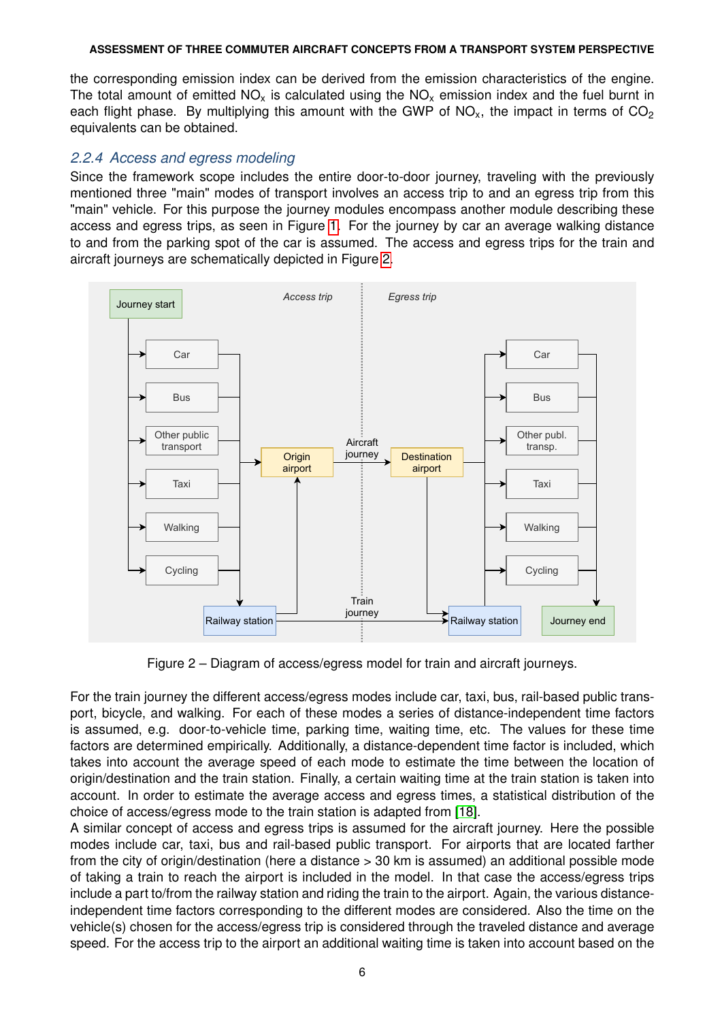the corresponding emission index can be derived from the emission characteristics of the engine. The total amount of emitted  $NO<sub>x</sub>$  is calculated using the  $NO<sub>x</sub>$  emission index and the fuel burnt in each flight phase. By multiplying this amount with the GWP of  $NO_{x}$ , the impact in terms of  $CO_{2}$ equivalents can be obtained.

### <span id="page-5-0"></span>*2.2.4 Access and egress modeling*

Since the framework scope includes the entire door-to-door journey, traveling with the previously mentioned three "main" modes of transport involves an access trip to and an egress trip from this "main" vehicle. For this purpose the journey modules encompass another module describing these access and egress trips, as seen in Figure [1.](#page-1-0) For the journey by car an average walking distance to and from the parking spot of the car is assumed. The access and egress trips for the train and aircraft journeys are schematically depicted in Figure [2.](#page-5-1)

<span id="page-5-1"></span>

Figure 2 – Diagram of access/egress model for train and aircraft journeys.

For the train journey the different access/egress modes include car, taxi, bus, rail-based public transport, bicycle, and walking. For each of these modes a series of distance-independent time factors is assumed, e.g. door-to-vehicle time, parking time, waiting time, etc. The values for these time factors are determined empirically. Additionally, a distance-dependent time factor is included, which takes into account the average speed of each mode to estimate the time between the location of origin/destination and the train station. Finally, a certain waiting time at the train station is taken into account. In order to estimate the average access and egress times, a statistical distribution of the choice of access/egress mode to the train station is adapted from [\[18\]](#page-13-4).

A similar concept of access and egress trips is assumed for the aircraft journey. Here the possible modes include car, taxi, bus and rail-based public transport. For airports that are located farther from the city of origin/destination (here a distance > 30 km is assumed) an additional possible mode of taking a train to reach the airport is included in the model. In that case the access/egress trips include a part to/from the railway station and riding the train to the airport. Again, the various distanceindependent time factors corresponding to the different modes are considered. Also the time on the vehicle(s) chosen for the access/egress trip is considered through the traveled distance and average speed. For the access trip to the airport an additional waiting time is taken into account based on the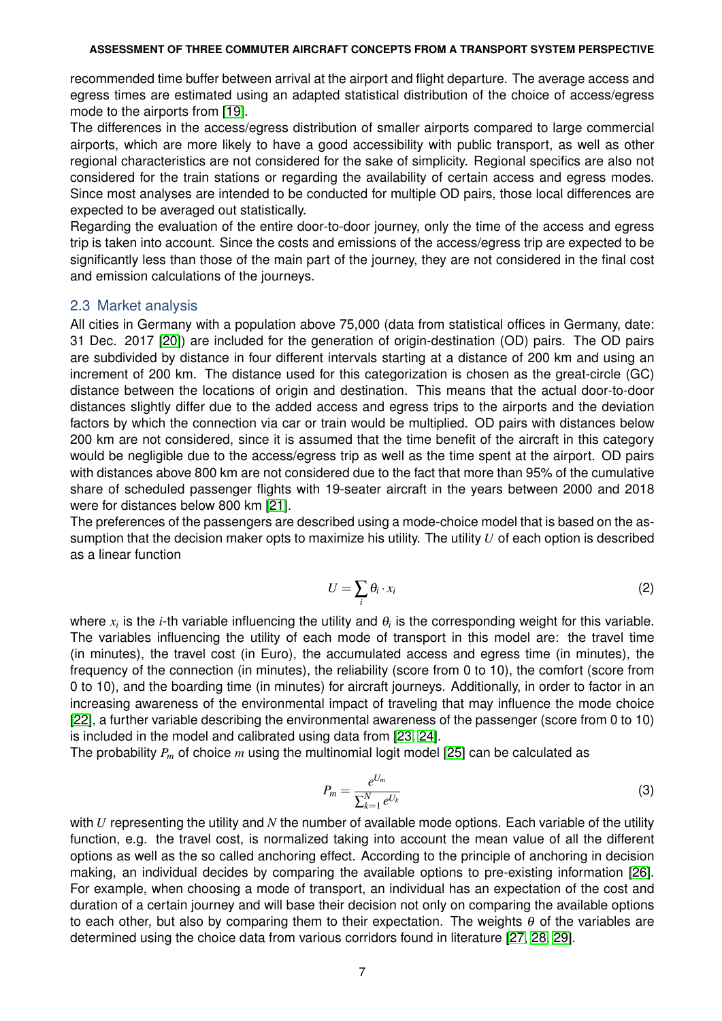recommended time buffer between arrival at the airport and flight departure. The average access and egress times are estimated using an adapted statistical distribution of the choice of access/egress mode to the airports from [\[19\]](#page-13-5).

The differences in the access/egress distribution of smaller airports compared to large commercial airports, which are more likely to have a good accessibility with public transport, as well as other regional characteristics are not considered for the sake of simplicity. Regional specifics are also not considered for the train stations or regarding the availability of certain access and egress modes. Since most analyses are intended to be conducted for multiple OD pairs, those local differences are expected to be averaged out statistically.

Regarding the evaluation of the entire door-to-door journey, only the time of the access and egress trip is taken into account. Since the costs and emissions of the access/egress trip are expected to be significantly less than those of the main part of the journey, they are not considered in the final cost and emission calculations of the journeys.

### 2.3 Market analysis

All cities in Germany with a population above 75,000 (data from statistical offices in Germany, date: 31 Dec. 2017 [\[20\]](#page-13-6)) are included for the generation of origin-destination (OD) pairs. The OD pairs are subdivided by distance in four different intervals starting at a distance of 200 km and using an increment of 200 km. The distance used for this categorization is chosen as the great-circle (GC) distance between the locations of origin and destination. This means that the actual door-to-door distances slightly differ due to the added access and egress trips to the airports and the deviation factors by which the connection via car or train would be multiplied. OD pairs with distances below 200 km are not considered, since it is assumed that the time benefit of the aircraft in this category would be negligible due to the access/egress trip as well as the time spent at the airport. OD pairs with distances above 800 km are not considered due to the fact that more than 95% of the cumulative share of scheduled passenger flights with 19-seater aircraft in the years between 2000 and 2018 were for distances below 800 km [\[21\]](#page-13-7).

The preferences of the passengers are described using a mode-choice model that is based on the assumption that the decision maker opts to maximize his utility. The utility *U* of each option is described as a linear function

$$
U = \sum_{i} \theta_i \cdot x_i \tag{2}
$$

where  $x_i$  is the *i*-th variable influencing the utility and  $\theta_i$  is the corresponding weight for this variable. The variables influencing the utility of each mode of transport in this model are: the travel time (in minutes), the travel cost (in Euro), the accumulated access and egress time (in minutes), the frequency of the connection (in minutes), the reliability (score from 0 to 10), the comfort (score from 0 to 10), and the boarding time (in minutes) for aircraft journeys. Additionally, in order to factor in an increasing awareness of the environmental impact of traveling that may influence the mode choice [\[22\]](#page-13-8), a further variable describing the environmental awareness of the passenger (score from 0 to 10) is included in the model and calibrated using data from [\[23,](#page-13-9) [24\]](#page-13-10).

The probability *P<sup>m</sup>* of choice *m* using the multinomial logit model [\[25\]](#page-13-11) can be calculated as

$$
P_m = \frac{e^{U_m}}{\sum_{k=1}^N e^{U_k}}\tag{3}
$$

with *U* representing the utility and *N* the number of available mode options. Each variable of the utility function, e.g. the travel cost, is normalized taking into account the mean value of all the different options as well as the so called anchoring effect. According to the principle of anchoring in decision making, an individual decides by comparing the available options to pre-existing information [\[26\]](#page-13-12). For example, when choosing a mode of transport, an individual has an expectation of the cost and duration of a certain journey and will base their decision not only on comparing the available options to each other, but also by comparing them to their expectation. The weights  $\theta$  of the variables are determined using the choice data from various corridors found in literature [\[27,](#page-13-13) [28,](#page-13-14) [29\]](#page-13-15).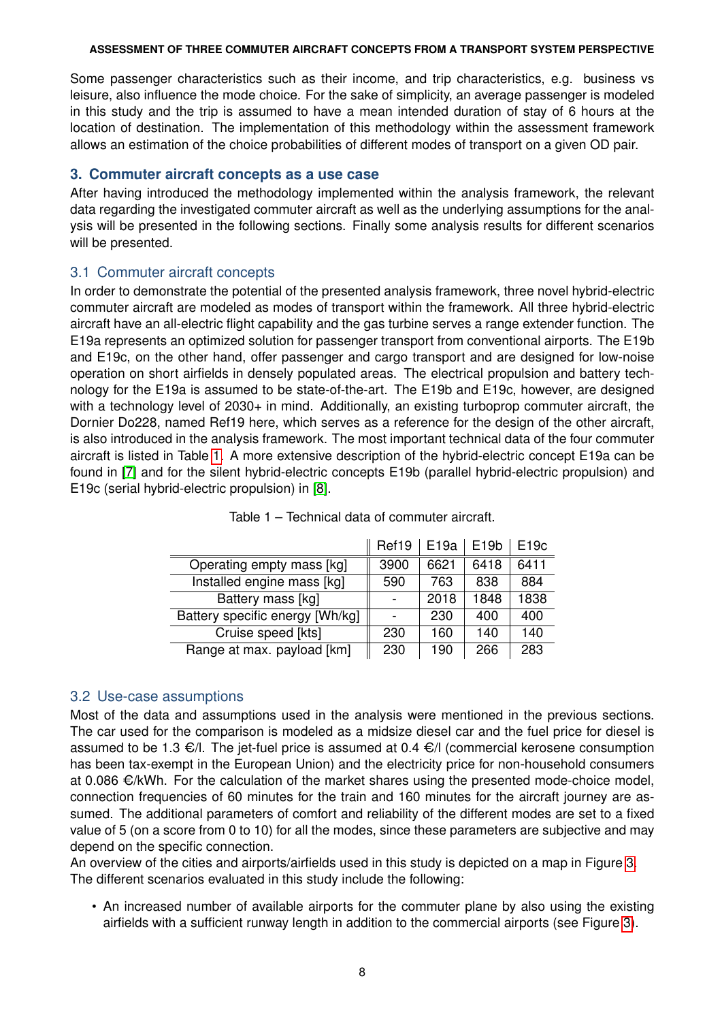Some passenger characteristics such as their income, and trip characteristics, e.g. business vs leisure, also influence the mode choice. For the sake of simplicity, an average passenger is modeled in this study and the trip is assumed to have a mean intended duration of stay of 6 hours at the location of destination. The implementation of this methodology within the assessment framework allows an estimation of the choice probabilities of different modes of transport on a given OD pair.

## **3. Commuter aircraft concepts as a use case**

After having introduced the methodology implemented within the analysis framework, the relevant data regarding the investigated commuter aircraft as well as the underlying assumptions for the analysis will be presented in the following sections. Finally some analysis results for different scenarios will be presented.

## <span id="page-7-0"></span>3.1 Commuter aircraft concepts

In order to demonstrate the potential of the presented analysis framework, three novel hybrid-electric commuter aircraft are modeled as modes of transport within the framework. All three hybrid-electric aircraft have an all-electric flight capability and the gas turbine serves a range extender function. The E19a represents an optimized solution for passenger transport from conventional airports. The E19b and E19c, on the other hand, offer passenger and cargo transport and are designed for low-noise operation on short airfields in densely populated areas. The electrical propulsion and battery technology for the E19a is assumed to be state-of-the-art. The E19b and E19c, however, are designed with a technology level of 2030+ in mind. Additionally, an existing turboprop commuter aircraft, the Dornier Do228, named Ref19 here, which serves as a reference for the design of the other aircraft, is also introduced in the analysis framework. The most important technical data of the four commuter aircraft is listed in Table [1.](#page-7-1) A more extensive description of the hybrid-electric concept E19a can be found in [\[7\]](#page-12-6) and for the silent hybrid-electric concepts E19b (parallel hybrid-electric propulsion) and E19c (serial hybrid-electric propulsion) in [\[8\]](#page-12-7).

<span id="page-7-1"></span>

|                                 | Ref19 | E <sub>19a</sub> | E <sub>19</sub> b | E <sub>19c</sub> |
|---------------------------------|-------|------------------|-------------------|------------------|
| Operating empty mass [kg]       | 3900  | 6621             | 6418              | 6411             |
| Installed engine mass [kg]      | 590   | 763              | 838               | 884              |
| Battery mass [kg]               |       | 2018             | 1848              | 1838             |
| Battery specific energy [Wh/kg] |       | 230              | 400               | 400              |
| Cruise speed [kts]              | 230   | 160              | 140               | 140              |
| Range at max. payload [km]      | 230   | 190              | 266               | 283              |

Table 1 – Technical data of commuter aircraft.

## 3.2 Use-case assumptions

Most of the data and assumptions used in the analysis were mentioned in the previous sections. The car used for the comparison is modeled as a midsize diesel car and the fuel price for diesel is assumed to be 1.3  $\epsilon$ /l. The jet-fuel price is assumed at 0.4  $\epsilon$ /l (commercial kerosene consumption has been tax-exempt in the European Union) and the electricity price for non-household consumers at 0.086  $\epsilon/kWh$ . For the calculation of the market shares using the presented mode-choice model, connection frequencies of 60 minutes for the train and 160 minutes for the aircraft journey are assumed. The additional parameters of comfort and reliability of the different modes are set to a fixed value of 5 (on a score from 0 to 10) for all the modes, since these parameters are subjective and may depend on the specific connection.

An overview of the cities and airports/airfields used in this study is depicted on a map in Figure [3.](#page-8-0) The different scenarios evaluated in this study include the following:

• An increased number of available airports for the commuter plane by also using the existing airfields with a sufficient runway length in addition to the commercial airports (see Figure [3\)](#page-8-0).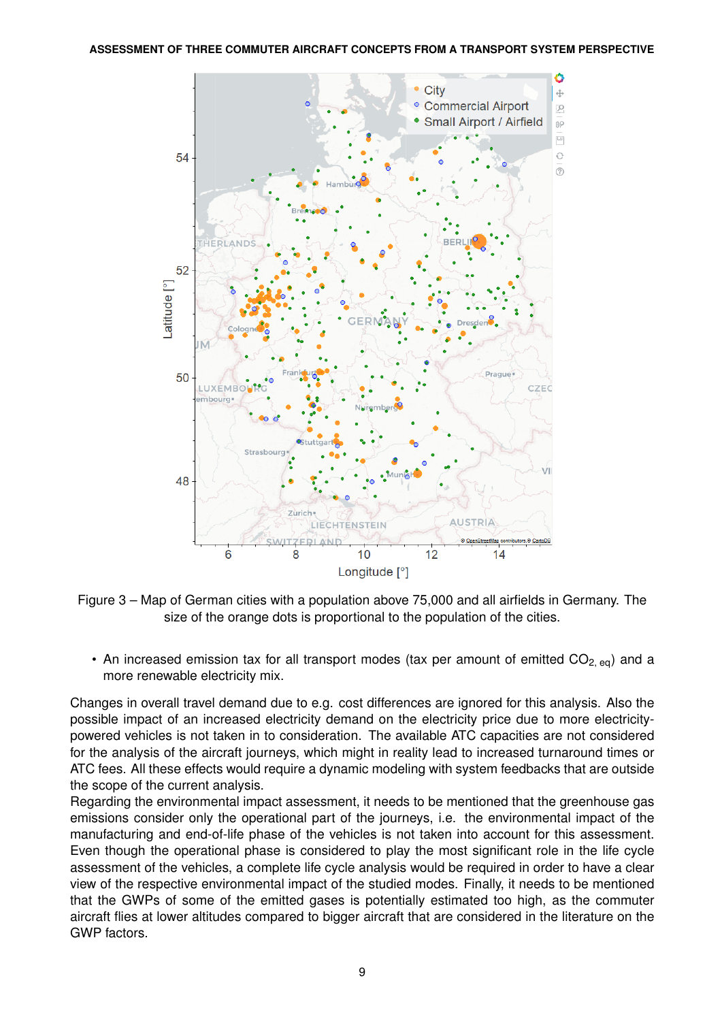<span id="page-8-0"></span>

Figure 3 – Map of German cities with a population above 75,000 and all airfields in Germany. The size of the orange dots is proportional to the population of the cities.

• An increased emission tax for all transport modes (tax per amount of emitted  $CO_{2,eq}$ ) and a more renewable electricity mix.

Changes in overall travel demand due to e.g. cost differences are ignored for this analysis. Also the possible impact of an increased electricity demand on the electricity price due to more electricitypowered vehicles is not taken in to consideration. The available ATC capacities are not considered for the analysis of the aircraft journeys, which might in reality lead to increased turnaround times or ATC fees. All these effects would require a dynamic modeling with system feedbacks that are outside the scope of the current analysis.

Regarding the environmental impact assessment, it needs to be mentioned that the greenhouse gas emissions consider only the operational part of the journeys, i.e. the environmental impact of the manufacturing and end-of-life phase of the vehicles is not taken into account for this assessment. Even though the operational phase is considered to play the most significant role in the life cycle assessment of the vehicles, a complete life cycle analysis would be required in order to have a clear view of the respective environmental impact of the studied modes. Finally, it needs to be mentioned that the GWPs of some of the emitted gases is potentially estimated too high, as the commuter aircraft flies at lower altitudes compared to bigger aircraft that are considered in the literature on the GWP factors.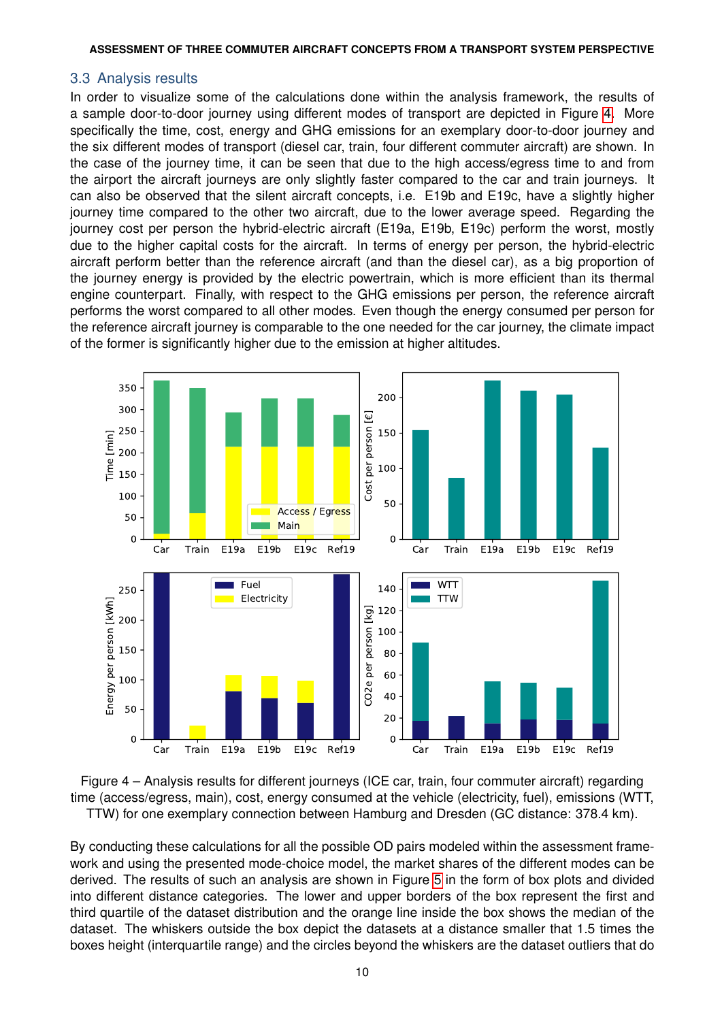### 3.3 Analysis results

In order to visualize some of the calculations done within the analysis framework, the results of a sample door-to-door journey using different modes of transport are depicted in Figure [4.](#page-9-0) More specifically the time, cost, energy and GHG emissions for an exemplary door-to-door journey and the six different modes of transport (diesel car, train, four different commuter aircraft) are shown. In the case of the journey time, it can be seen that due to the high access/egress time to and from the airport the aircraft journeys are only slightly faster compared to the car and train journeys. It can also be observed that the silent aircraft concepts, i.e. E19b and E19c, have a slightly higher journey time compared to the other two aircraft, due to the lower average speed. Regarding the journey cost per person the hybrid-electric aircraft (E19a, E19b, E19c) perform the worst, mostly due to the higher capital costs for the aircraft. In terms of energy per person, the hybrid-electric aircraft perform better than the reference aircraft (and than the diesel car), as a big proportion of the journey energy is provided by the electric powertrain, which is more efficient than its thermal engine counterpart. Finally, with respect to the GHG emissions per person, the reference aircraft performs the worst compared to all other modes. Even though the energy consumed per person for the reference aircraft journey is comparable to the one needed for the car journey, the climate impact of the former is significantly higher due to the emission at higher altitudes.

<span id="page-9-0"></span>

Figure 4 – Analysis results for different journeys (ICE car, train, four commuter aircraft) regarding time (access/egress, main), cost, energy consumed at the vehicle (electricity, fuel), emissions (WTT, TTW) for one exemplary connection between Hamburg and Dresden (GC distance: 378.4 km).

By conducting these calculations for all the possible OD pairs modeled within the assessment framework and using the presented mode-choice model, the market shares of the different modes can be derived. The results of such an analysis are shown in Figure [5](#page-10-0) in the form of box plots and divided into different distance categories. The lower and upper borders of the box represent the first and third quartile of the dataset distribution and the orange line inside the box shows the median of the dataset. The whiskers outside the box depict the datasets at a distance smaller that 1.5 times the boxes height (interquartile range) and the circles beyond the whiskers are the dataset outliers that do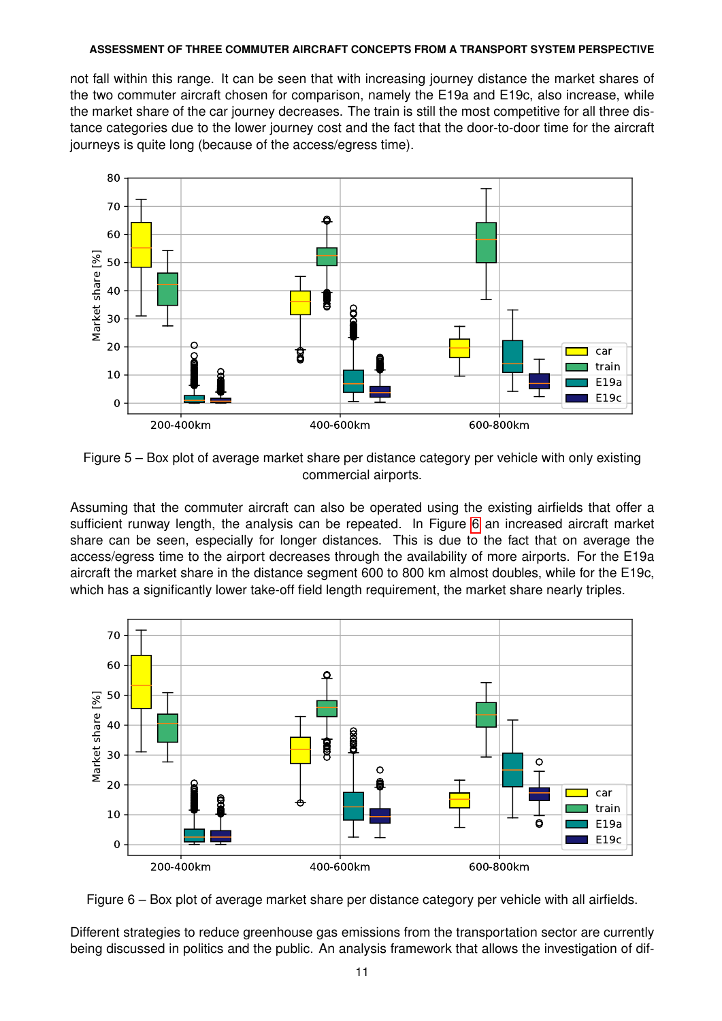not fall within this range. It can be seen that with increasing journey distance the market shares of the two commuter aircraft chosen for comparison, namely the E19a and E19c, also increase, while the market share of the car journey decreases. The train is still the most competitive for all three distance categories due to the lower journey cost and the fact that the door-to-door time for the aircraft journeys is quite long (because of the access/egress time).

<span id="page-10-0"></span>

Figure 5 – Box plot of average market share per distance category per vehicle with only existing commercial airports.

Assuming that the commuter aircraft can also be operated using the existing airfields that offer a sufficient runway length, the analysis can be repeated. In Figure [6](#page-10-1) an increased aircraft market share can be seen, especially for longer distances. This is due to the fact that on average the access/egress time to the airport decreases through the availability of more airports. For the E19a aircraft the market share in the distance segment 600 to 800 km almost doubles, while for the E19c, which has a significantly lower take-off field length requirement, the market share nearly triples.

<span id="page-10-1"></span>

Figure 6 – Box plot of average market share per distance category per vehicle with all airfields.

Different strategies to reduce greenhouse gas emissions from the transportation sector are currently being discussed in politics and the public. An analysis framework that allows the investigation of dif-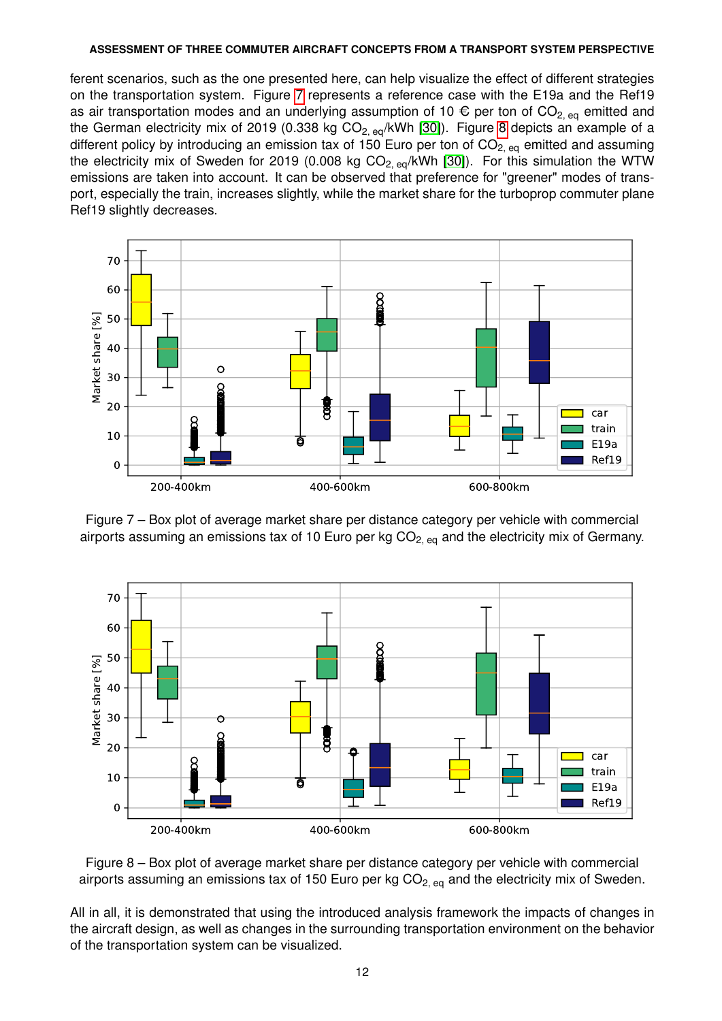ferent scenarios, such as the one presented here, can help visualize the effect of different strategies on the transportation system. Figure [7](#page-11-0) represents a reference case with the E19a and the Ref19 as air transportation modes and an underlying assumption of 10  $\epsilon$  per ton of CO<sub>2, eq</sub> emitted and the German electricity mix of 2019 (0.338 kg  $CO_{2, eq}/kWh$  [\[30\]](#page-13-16)). Figure [8](#page-11-1) depicts an example of a different policy by introducing an emission tax of 150 Euro per ton of  $CO<sub>2, eq</sub>$  emitted and assuming the electricity mix of Sweden for 2019 (0.008 kg  $CO_{2, eq}/kWh$  [\[30\]](#page-13-16)). For this simulation the WTW emissions are taken into account. It can be observed that preference for "greener" modes of transport, especially the train, increases slightly, while the market share for the turboprop commuter plane Ref19 slightly decreases.

<span id="page-11-0"></span>

Figure 7 – Box plot of average market share per distance category per vehicle with commercial airports assuming an emissions tax of 10 Euro per kg  $CO<sub>2. eq</sub>$  and the electricity mix of Germany.

<span id="page-11-1"></span>

Figure 8 – Box plot of average market share per distance category per vehicle with commercial airports assuming an emissions tax of 150 Euro per kg  $CO<sub>2, eq</sub>$  and the electricity mix of Sweden.

All in all, it is demonstrated that using the introduced analysis framework the impacts of changes in the aircraft design, as well as changes in the surrounding transportation environment on the behavior of the transportation system can be visualized.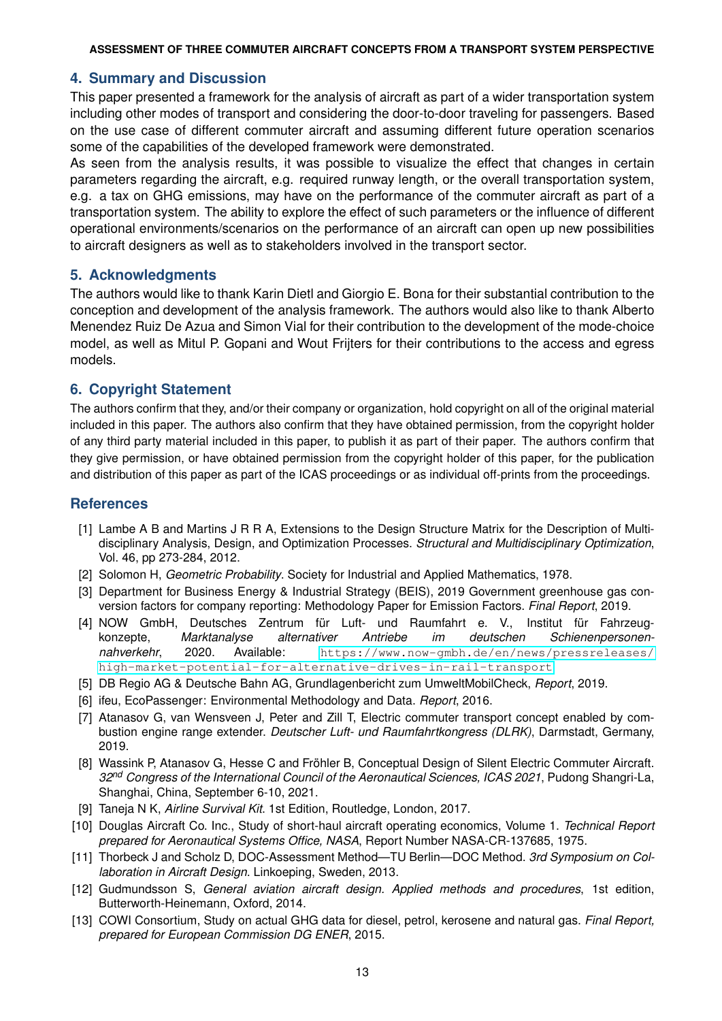### **4. Summary and Discussion**

This paper presented a framework for the analysis of aircraft as part of a wider transportation system including other modes of transport and considering the door-to-door traveling for passengers. Based on the use case of different commuter aircraft and assuming different future operation scenarios some of the capabilities of the developed framework were demonstrated.

As seen from the analysis results, it was possible to visualize the effect that changes in certain parameters regarding the aircraft, e.g. required runway length, or the overall transportation system, e.g. a tax on GHG emissions, may have on the performance of the commuter aircraft as part of a transportation system. The ability to explore the effect of such parameters or the influence of different operational environments/scenarios on the performance of an aircraft can open up new possibilities to aircraft designers as well as to stakeholders involved in the transport sector.

### **5. Acknowledgments**

The authors would like to thank Karin Dietl and Giorgio E. Bona for their substantial contribution to the conception and development of the analysis framework. The authors would also like to thank Alberto Menendez Ruiz De Azua and Simon Vial for their contribution to the development of the mode-choice model, as well as Mitul P. Gopani and Wout Frijters for their contributions to the access and egress models.

### **6. Copyright Statement**

The authors confirm that they, and/or their company or organization, hold copyright on all of the original material included in this paper. The authors also confirm that they have obtained permission, from the copyright holder of any third party material included in this paper, to publish it as part of their paper. The authors confirm that they give permission, or have obtained permission from the copyright holder of this paper, for the publication and distribution of this paper as part of the ICAS proceedings or as individual off-prints from the proceedings.

### **References**

- <span id="page-12-0"></span>[1] Lambe A B and Martins J R R A, Extensions to the Design Structure Matrix for the Description of Multidisciplinary Analysis, Design, and Optimization Processes. *Structural and Multidisciplinary Optimization*, Vol. 46, pp 273-284, 2012.
- <span id="page-12-1"></span>[2] Solomon H, *Geometric Probability*. Society for Industrial and Applied Mathematics, 1978.
- <span id="page-12-2"></span>[3] Department for Business Energy & Industrial Strategy (BEIS), 2019 Government greenhouse gas conversion factors for company reporting: Methodology Paper for Emission Factors. *Final Report*, 2019.
- <span id="page-12-3"></span>[4] NOW GmbH, Deutsches Zentrum für Luft- und Raumfahrt e. V., Institut für Fahrzeugkonzepte, *Marktanalyse alternativer Antriebe im deutschen Schienenpersonennahverkehr*, 2020. Available: [https://www.now-gmbh.de/en/news/pressreleases/](https://www.now-gmbh.de/en/news/pressreleases/high-market-potential-for-alternative-drives-in-rail-transport) [high-market-potential-for-alternative-drives-in-rail-transport](https://www.now-gmbh.de/en/news/pressreleases/high-market-potential-for-alternative-drives-in-rail-transport)
- <span id="page-12-4"></span>[5] DB Regio AG & Deutsche Bahn AG, Grundlagenbericht zum UmweltMobilCheck, *Report*, 2019.
- <span id="page-12-5"></span>[6] ifeu, EcoPassenger: Environmental Methodology and Data. *Report*, 2016.
- <span id="page-12-6"></span>[7] Atanasov G, van Wensveen J, Peter and Zill T, Electric commuter transport concept enabled by combustion engine range extender. *Deutscher Luft- und Raumfahrtkongress (DLRK)*, Darmstadt, Germany, 2019.
- <span id="page-12-7"></span>[8] Wassink P, Atanasov G, Hesse C and Fröhler B, Conceptual Design of Silent Electric Commuter Aircraft. *32nd Congress of the International Council of the Aeronautical Sciences, ICAS 2021*, Pudong Shangri-La, Shanghai, China, September 6-10, 2021.
- <span id="page-12-8"></span>[9] Taneja N K, *Airline Survival Kit*. 1st Edition, Routledge, London, 2017.
- <span id="page-12-9"></span>[10] Douglas Aircraft Co. Inc., Study of short-haul aircraft operating economics, Volume 1. *Technical Report prepared for Aeronautical Systems Office, NASA*, Report Number NASA-CR-137685, 1975.
- <span id="page-12-10"></span>[11] Thorbeck J and Scholz D, DOC-Assessment Method—TU Berlin—DOC Method. *3rd Symposium on Collaboration in Aircraft Design*. Linkoeping, Sweden, 2013.
- <span id="page-12-11"></span>[12] Gudmundsson S, *General aviation aircraft design. Applied methods and procedures*, 1st edition, Butterworth-Heinemann, Oxford, 2014.
- <span id="page-12-12"></span>[13] COWI Consortium, Study on actual GHG data for diesel, petrol, kerosene and natural gas. *Final Report, prepared for European Commission DG ENER*, 2015.